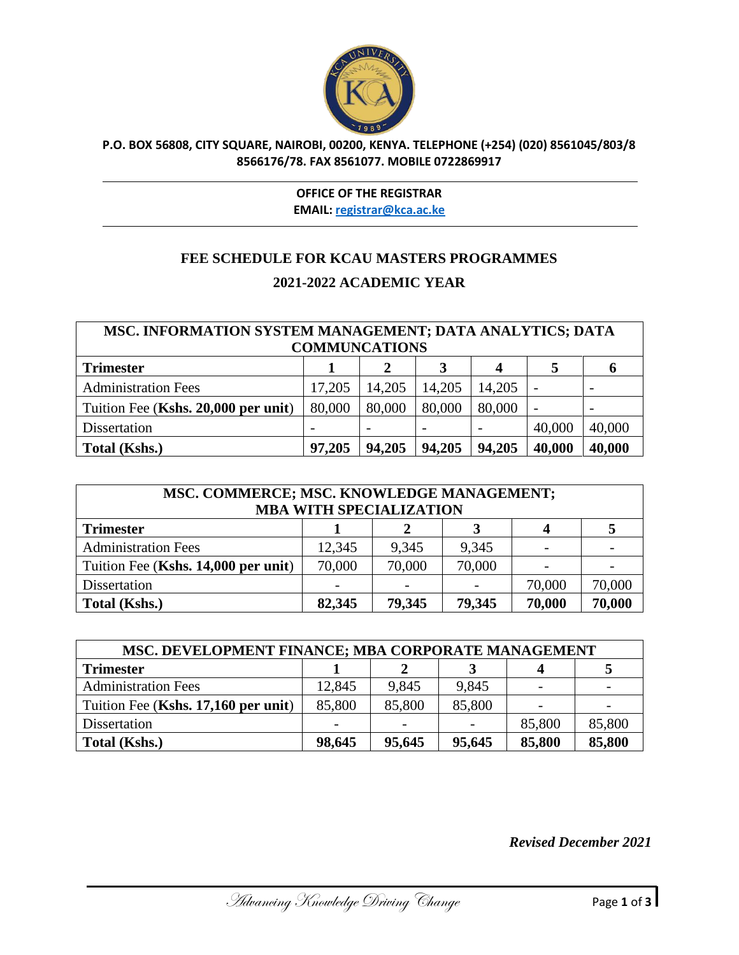

## **P.O. BOX 56808, CITY SQUARE, NAIROBI, 00200, KENYA. TELEPHONE (+254) (020) 8561045/803/8 8566176/78. FAX 8561077. MOBILE 0722869917**

## **OFFICE OF THE REGISTRAR EMAIL: [registrar@kca.ac.ke](mailto:registrar@kca.ac.ke)**

## **FEE SCHEDULE FOR KCAU MASTERS PROGRAMMES 2021-2022 ACADEMIC YEAR**

| MSC. INFORMATION SYSTEM MANAGEMENT; DATA ANALYTICS; DATA |                      |        |        |        |                          |                          |
|----------------------------------------------------------|----------------------|--------|--------|--------|--------------------------|--------------------------|
|                                                          | <b>COMMUNCATIONS</b> |        |        |        |                          |                          |
| <b>Trimester</b>                                         |                      |        | 3      | 4      |                          | O                        |
| <b>Administration Fees</b>                               | 17,205               | 14,205 | 14,205 | 14,205 | $\overline{\phantom{0}}$ | $\overline{\phantom{0}}$ |
| Tuition Fee (Kshs. 20,000 per unit)                      | 80,000               | 80,000 | 80,000 | 80,000 | $\overline{\phantom{0}}$ |                          |
| Dissertation                                             |                      |        |        |        | 40,000                   | 40,000                   |
| Total (Kshs.)                                            | 97,205               | 94,205 | 94,205 | 94,205 | 40,000                   | 40,000                   |

| MSC. COMMERCE; MSC. KNOWLEDGE MANAGEMENT;<br><b>MBA WITH SPECIALIZATION</b> |        |        |        |        |                          |
|-----------------------------------------------------------------------------|--------|--------|--------|--------|--------------------------|
| <b>Trimester</b>                                                            |        |        |        | 4      |                          |
| <b>Administration Fees</b>                                                  | 12,345 | 9,345  | 9,345  |        |                          |
| Tuition Fee (Kshs. 14,000 per unit)                                         | 70,000 | 70,000 | 70,000 |        | $\overline{\phantom{a}}$ |
| Dissertation                                                                |        |        |        | 70,000 | 70,000                   |
| <b>Total (Kshs.)</b>                                                        | 82,345 | 79,345 | 79,345 | 70,000 | 70,000                   |

| MSC. DEVELOPMENT FINANCE; MBA CORPORATE MANAGEMENT |                          |        |                          |        |        |
|----------------------------------------------------|--------------------------|--------|--------------------------|--------|--------|
| <b>Trimester</b>                                   |                          |        |                          |        |        |
| <b>Administration Fees</b>                         | 12,845                   | 9,845  | 9,845                    |        |        |
| Tuition Fee (Kshs. 17,160 per unit)                | 85,800                   | 85,800 | 85,800                   |        |        |
| Dissertation                                       | $\overline{\phantom{a}}$ |        | $\overline{\phantom{a}}$ | 85,800 | 85,800 |
| Total (Kshs.)                                      | 98,645                   | 95,645 | 95,645                   | 85,800 | 85,800 |

*Revised December 2021*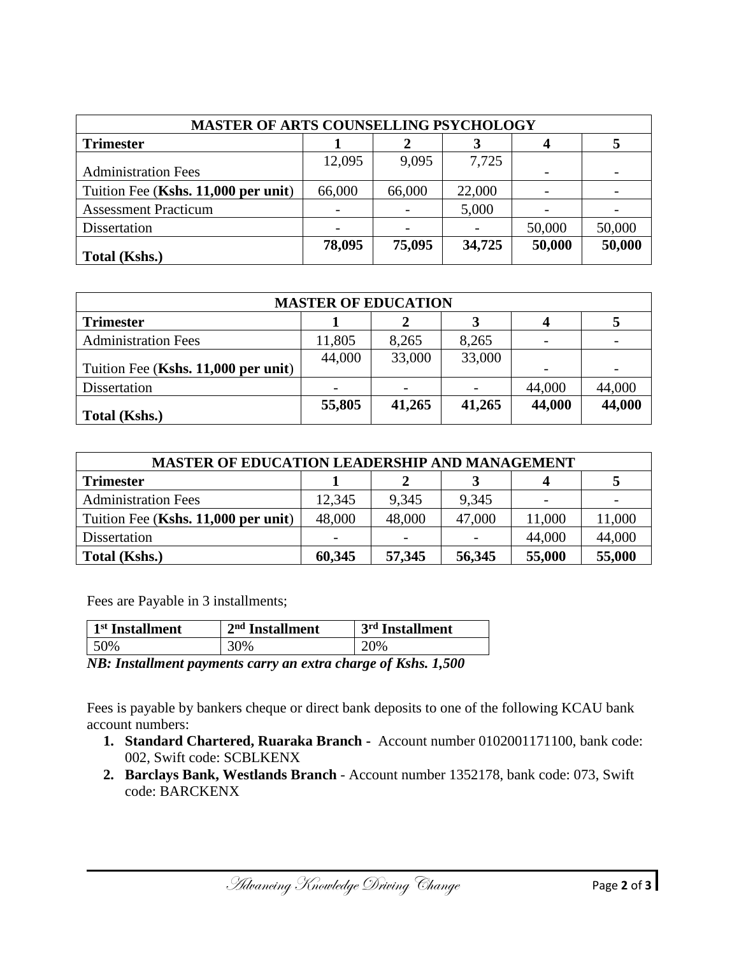| <b>MASTER OF ARTS COUNSELLING PSYCHOLOGY</b> |        |        |        |        |        |
|----------------------------------------------|--------|--------|--------|--------|--------|
| <b>Trimester</b>                             |        |        |        |        |        |
| <b>Administration Fees</b>                   | 12,095 | 9,095  | 7,725  |        |        |
| Tuition Fee (Kshs. 11,000 per unit)          | 66,000 | 66,000 | 22,000 |        |        |
| <b>Assessment Practicum</b>                  |        |        | 5,000  |        |        |
| Dissertation                                 |        |        |        | 50,000 | 50,000 |
| <b>Total (Kshs.)</b>                         | 78,095 | 75,095 | 34,725 | 50,000 | 50,000 |

| <b>MASTER OF EDUCATION</b>          |        |        |        |        |        |
|-------------------------------------|--------|--------|--------|--------|--------|
| <b>Trimester</b>                    |        |        |        |        |        |
| <b>Administration Fees</b>          | 11,805 | 8,265  | 8,265  |        |        |
| Tuition Fee (Kshs. 11,000 per unit) | 44,000 | 33,000 | 33,000 |        |        |
| Dissertation                        |        |        |        | 44,000 | 44,000 |
| Total (Kshs.)                       | 55,805 | 41,265 | 41,265 | 44,000 | 44,000 |

| <b>MASTER OF EDUCATION LEADERSHIP AND MANAGEMENT</b> |        |        |        |        |        |
|------------------------------------------------------|--------|--------|--------|--------|--------|
| <b>Trimester</b>                                     |        |        |        |        |        |
| <b>Administration Fees</b>                           | 12,345 | 9,345  | 9,345  |        |        |
| Tuition Fee (Kshs. 11,000 per unit)                  | 48,000 | 48,000 | 47,000 | 11,000 | 11,000 |
| Dissertation                                         |        |        |        | 44,000 | 44,000 |
| Total (Kshs.)                                        | 60,345 | 57,345 | 56,345 | 55,000 | 55,000 |

Fees are Payable in 3 installments;

| 1 <sup>st</sup> Installment | $2nd$ Installment | 3rd Installment |  |
|-----------------------------|-------------------|-----------------|--|
| 50%                         | 30%               | 20%             |  |

*NB: Installment payments carry an extra charge of Kshs. 1,500*

Fees is payable by bankers cheque or direct bank deposits to one of the following KCAU bank account numbers:

- **1. Standard Chartered, Ruaraka Branch** Account number 0102001171100, bank code: 002, Swift code: SCBLKENX
- **2. Barclays Bank, Westlands Branch** Account number 1352178, bank code: 073, Swift code: BARCKENX